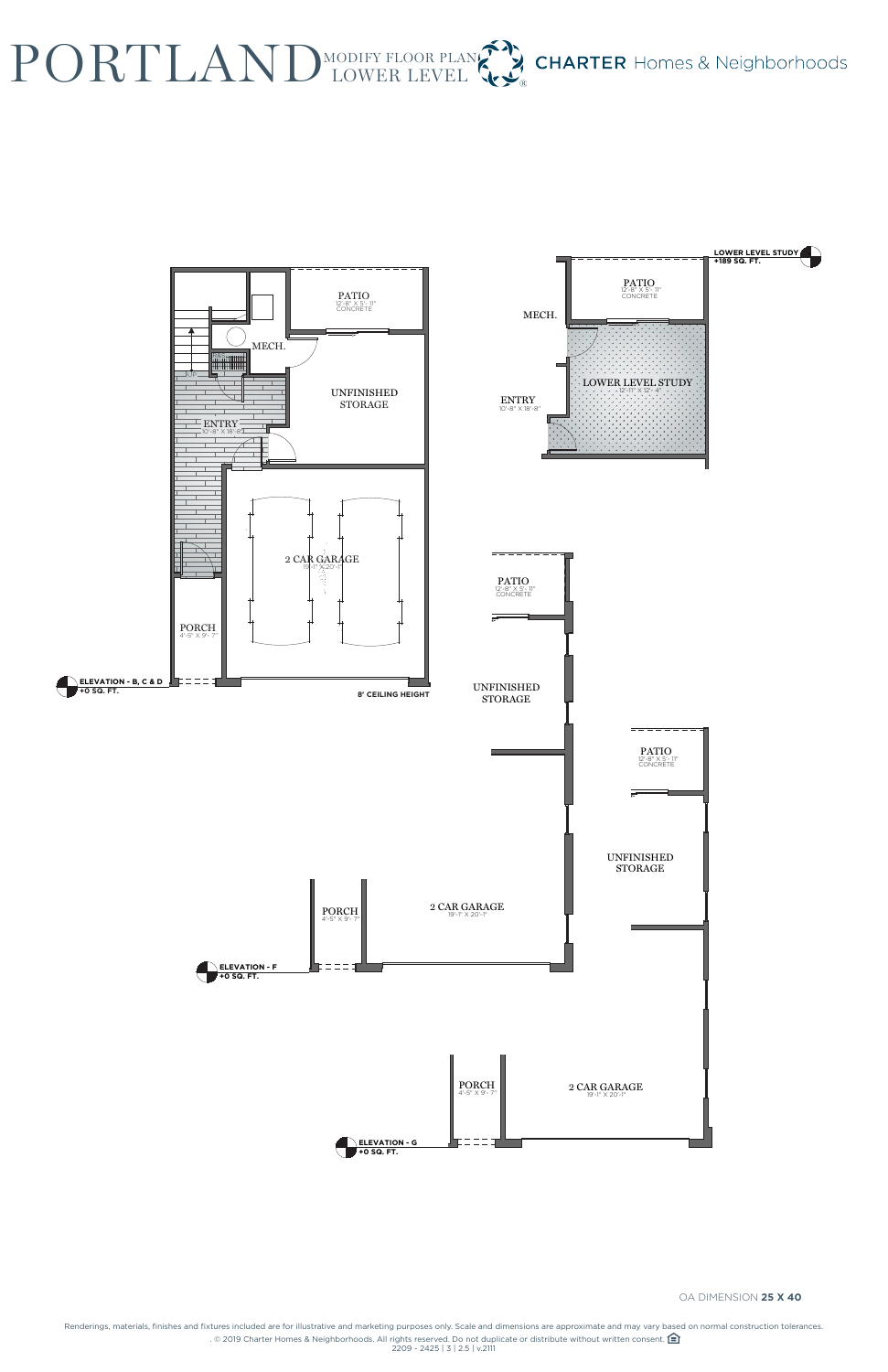Renderings, materials, finishes and fixtures included are for illustrative and marketing purposes only. Scale and dimensions are approximate and may vary based on normal construction tolerances. . © 2019 Charter Homes & Neighborhoods. All rights reserved. Do not duplicate or distribute without written consent.  $\bigoplus$ 2209 - 2425 | 3 | 2.5 | v.2111

## PORTLAND MODIFY FLOOR PLA **CHARTER** Homes & Neighborhoods MODIFY FLOOR PLAN





OA DIMENSION **25 X 40**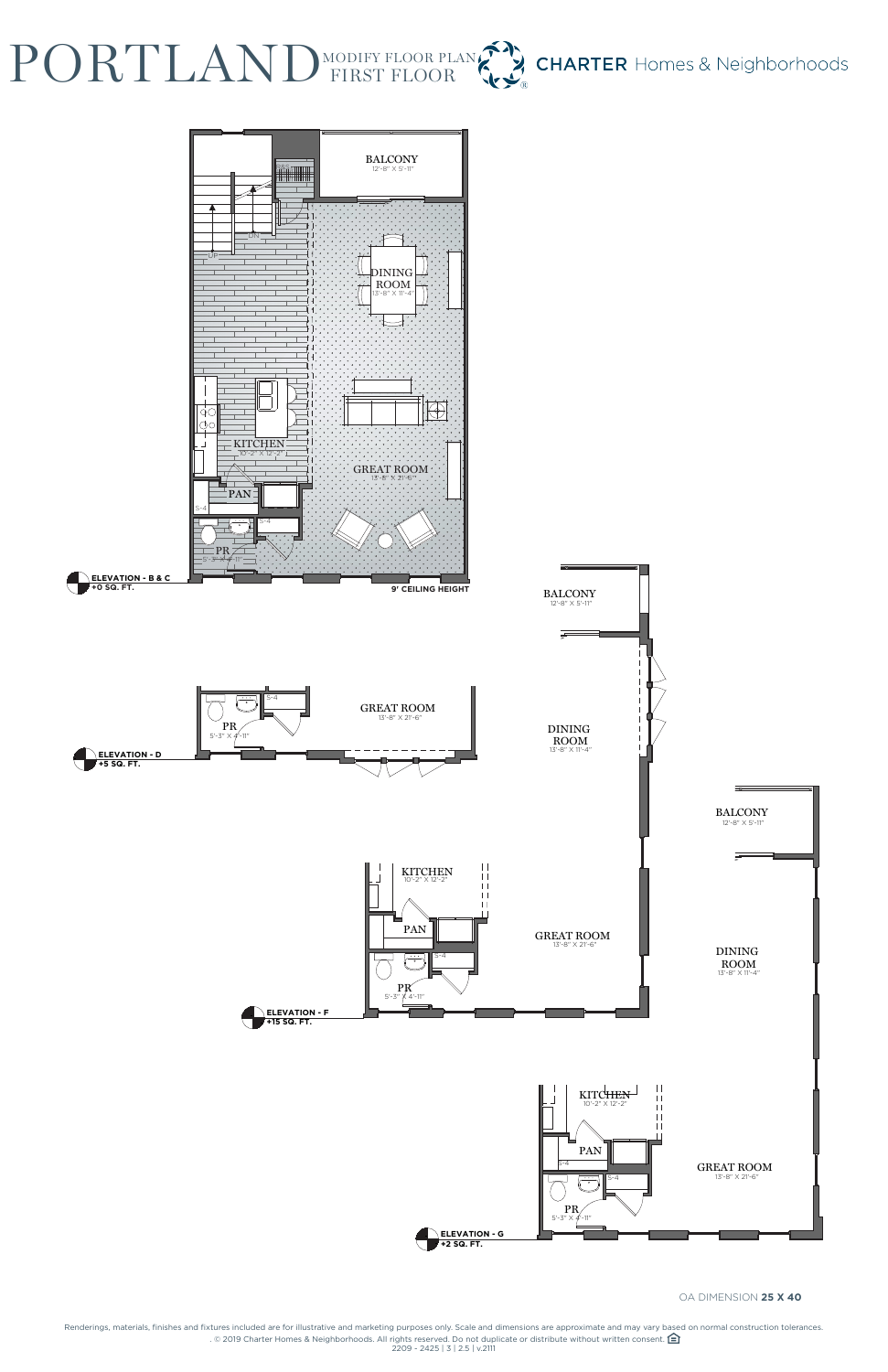Renderings, materials, finishes and fixtures included are for illustrative and marketing purposes only. Scale and dimensions are approximate and may vary based on normal construction tolerances. . © 2019 Charter Homes & Neighborhoods. All rights reserved. Do not duplicate or distribute without written consent.  $\bigoplus$ 2209 - 2425 | 3 | 2.5 | v.2111

## PORTLAND MODIFY FLOOR PL **CHARTER** Homes & Neighborhoods MODIFY FLOOR PLAN**KY**



## OA DIMENSION **25 X 40**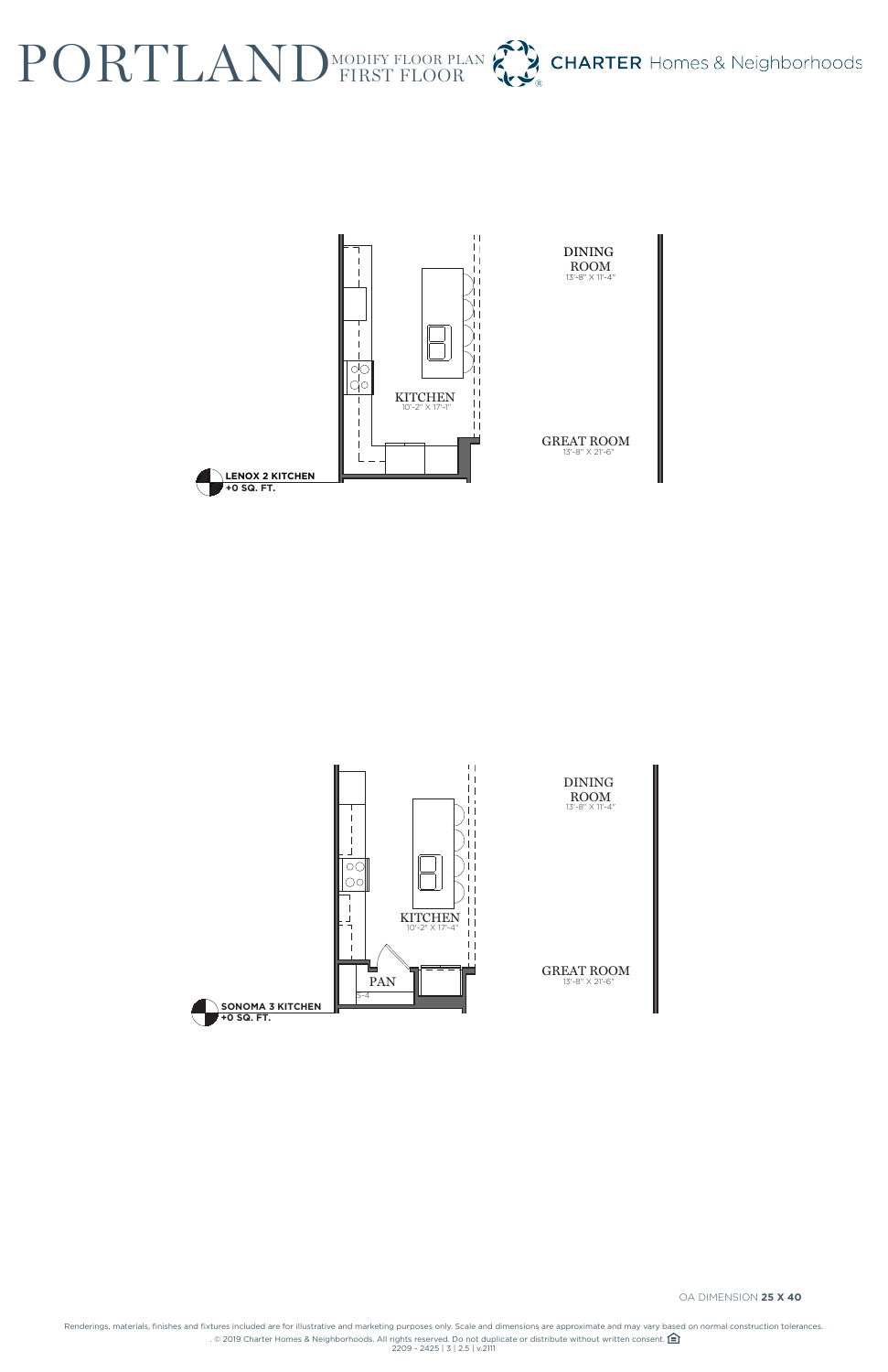Renderings, materials, finishes and fixtures included are for illustrative and marketing purposes only. Scale and dimensions are approximate and may vary based on normal construction tolerances. . © 2019 Charter Homes & Neighborhoods. All rights reserved. Do not duplicate or distribute without written consent. 2209 - 2425 | 3 | 2.5 | v.2111

| I JUNUMA J NII UNEN |  |
|---------------------|--|
| $\P$ +0 SQ, FT,     |  |

## PORTLAND MODIFY FLOOR PLAN CHARTER Homes & Neighborhoods





OA DIMENSION **25 X 40**